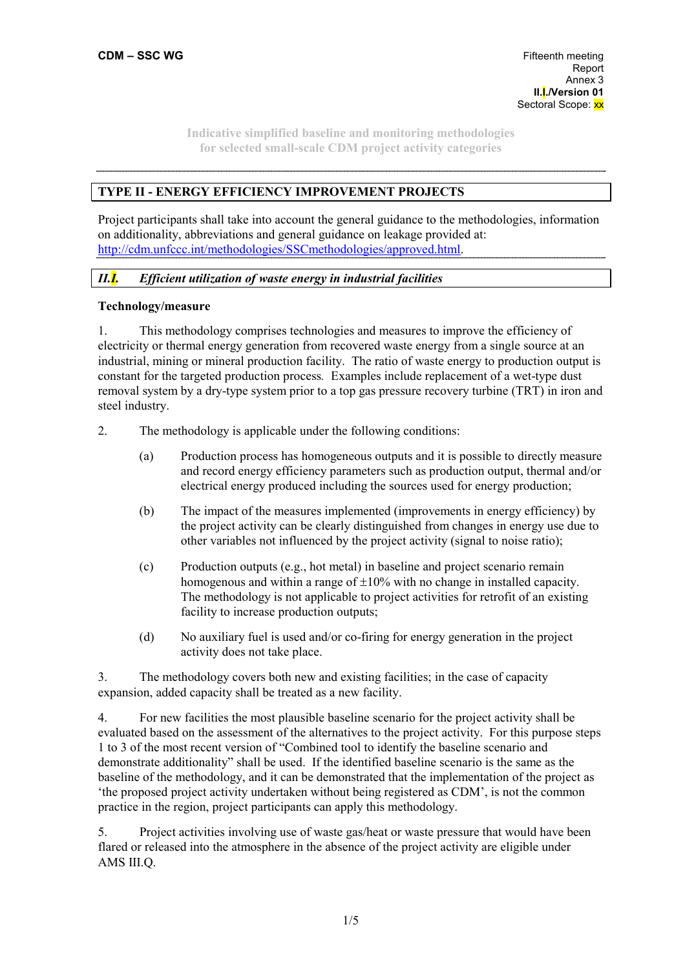# **TYPE II - ENERGY EFFICIENCY IMPROVEMENT PROJECTS**

Project participants shall take into account the general guidance to the methodologies, information on additionality, abbreviations and general guidance on leakage provided at: http://cdm.unfccc.int/methodologies/SSCmethodologies/approved.html.

## *II.I. Efficient utilization of waste energy in industrial facilities*

### **Technology/measure**

1. This methodology comprises technologies and measures to improve the efficiency of electricity or thermal energy generation from recovered waste energy from a single source at an industrial, mining or mineral production facility. The ratio of waste energy to production output is constant for the targeted production process*.* Examples include replacement of a wet-type dust removal system by a dry-type system prior to a top gas pressure recovery turbine (TRT) in iron and steel industry.

2. The methodology is applicable under the following conditions:

- (a) Production process has homogeneous outputs and it is possible to directly measure and record energy efficiency parameters such as production output, thermal and/or electrical energy produced including the sources used for energy production;
- (b) The impact of the measures implemented (improvements in energy efficiency) by the project activity can be clearly distinguished from changes in energy use due to other variables not influenced by the project activity (signal to noise ratio);
- (c) Production outputs (e.g., hot metal) in baseline and project scenario remain homogenous and within a range of  $\pm 10\%$  with no change in installed capacity. The methodology is not applicable to project activities for retrofit of an existing facility to increase production outputs;
- (d) No auxiliary fuel is used and/or co-firing for energy generation in the project activity does not take place.

3. The methodology covers both new and existing facilities; in the case of capacity expansion, added capacity shall be treated as a new facility.

4. For new facilities the most plausible baseline scenario for the project activity shall be evaluated based on the assessment of the alternatives to the project activity. For this purpose steps 1 to 3 of the most recent version of "Combined tool to identify the baseline scenario and demonstrate additionality" shall be used. If the identified baseline scenario is the same as the baseline of the methodology, and it can be demonstrated that the implementation of the project as 'the proposed project activity undertaken without being registered as CDM', is not the common practice in the region, project participants can apply this methodology.

5. Project activities involving use of waste gas/heat or waste pressure that would have been flared or released into the atmosphere in the absence of the project activity are eligible under AMS III.Q.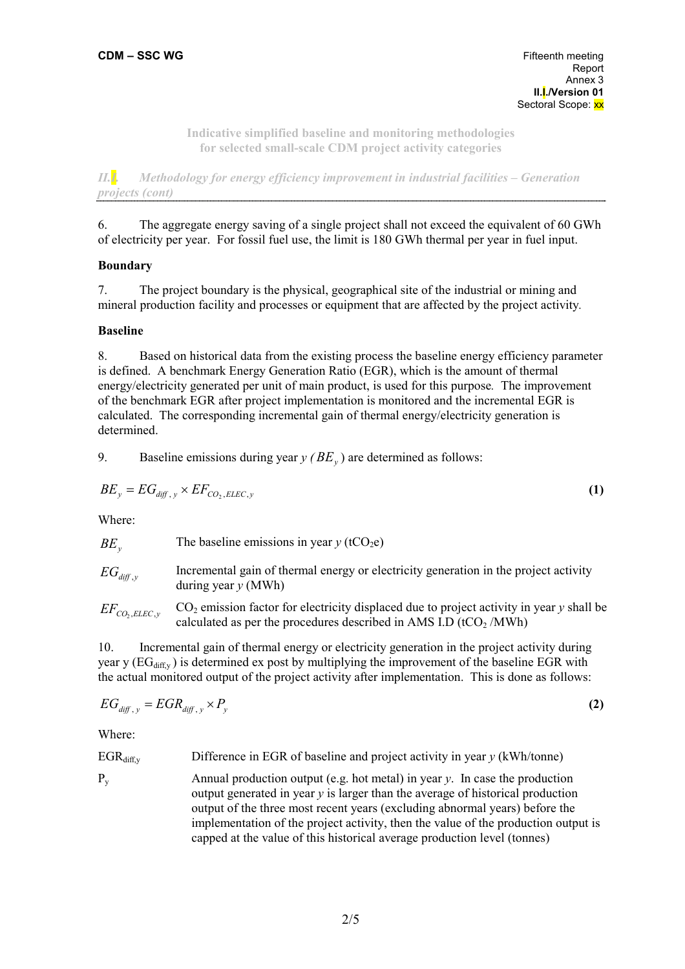*II.I. Methodology for energy efficiency improvement in industrial facilities – Generation projects (cont)*  

6. The aggregate energy saving of a single project shall not exceed the equivalent of 60 GWh of electricity per year. For fossil fuel use, the limit is 180 GWh thermal per year in fuel input.

## **Boundary**

7. The project boundary is the physical, geographical site of the industrial or mining and mineral production facility and processes or equipment that are affected by the project activity*.*

## **Baseline**

8. Based on historical data from the existing process the baseline energy efficiency parameter is defined. A benchmark Energy Generation Ratio (EGR), which is the amount of thermal energy/electricity generated per unit of main product, is used for this purpose*.* The improvement of the benchmark EGR after project implementation is monitored and the incremental EGR is calculated. The corresponding incremental gain of thermal energy/electricity generation is determined.

9. Baseline emissions during year  $y$  ( $BE_y$ ) are determined as follows:

$$
BE_y = EG_{\text{diff},y} \times EF_{CO_2, ELLC,y} \tag{1}
$$

Where:

| $BE_{v}$             | The baseline emissions in year $y$ (tCO <sub>2</sub> e)                                                       |
|----------------------|---------------------------------------------------------------------------------------------------------------|
| $EG_{\text{diff},y}$ | Incremental gain of thermal energy or electricity generation in the project activity<br>during year $y$ (MWh) |

 $EF_{CO, ELEC, y}$ CO2 emission factor for electricity displaced due to project activity in year *y* shall be calculated as per the procedures described in AMS I.D ( $tCO<sub>2</sub>/MWh$ )

10. Incremental gain of thermal energy or electricity generation in the project activity during year y  $(\text{EG}_{diff}$ ) is determined ex post by multiplying the improvement of the baseline EGR with the actual monitored output of the project activity after implementation. This is done as follows:

$$
EG_{\text{diff},y} = EGR_{\text{diff},y} \times P_y \tag{2}
$$

Where:

EGR<sub>diff,y</sub> Difference in EGR of baseline and project activity in year y (kWh/tonne)

Py Annual production output (e.g. hot metal) in year *y*. In case the production output generated in year *y* is larger than the average of historical production output of the three most recent years (excluding abnormal years) before the implementation of the project activity, then the value of the production output is capped at the value of this historical average production level (tonnes)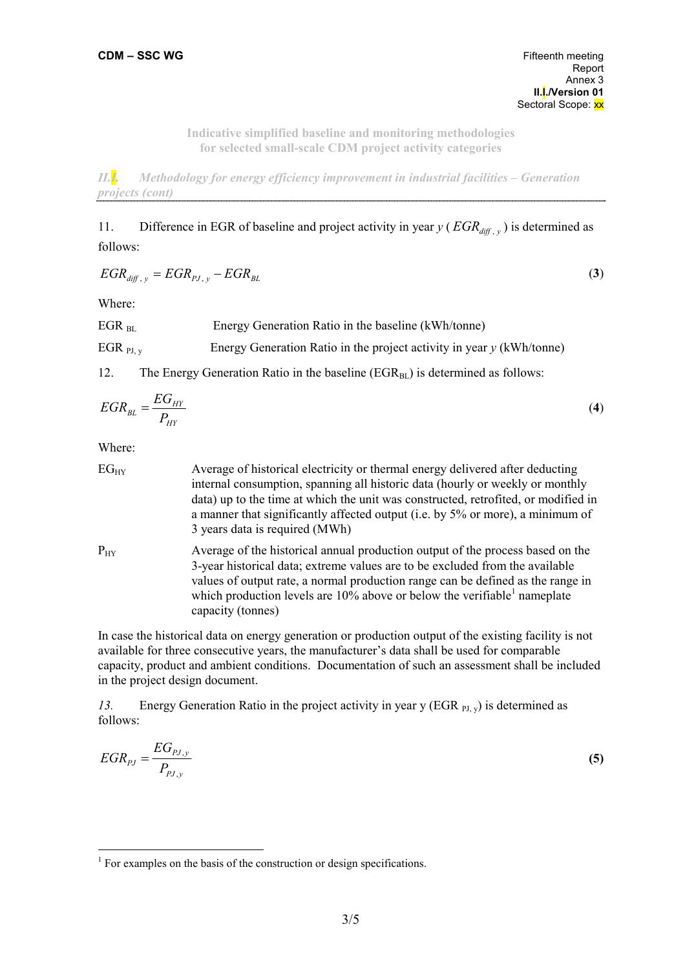*II.I. Methodology for energy efficiency improvement in industrial facilities – Generation projects (cont)* 

11. Difference in EGR of baseline and project activity in year  $y$  ( $EGR_{diff, y}$ ) is determined as follows:

$$
EGR_{\text{diff}, y} = EGR_{\text{PI}, y} - EGR_{\text{BL}} \tag{3}
$$

Where:

| $EGR_{RI}$           | Energy Generation Ratio in the baseline (kWh/tonne)                     |
|----------------------|-------------------------------------------------------------------------|
| EGR <sub>PJ, v</sub> | Energy Generation Ratio in the project activity in year $y$ (kWh/tonne) |

12. The Energy Generation Ratio in the baseline  $(EGR<sub>BL</sub>)$  is determined as follows:

$$
EGR_{BL} = \frac{EG_{HY}}{P_{HY}}\tag{4}
$$

Where:

 $\overline{a}$ 

EG<sub>HY</sub> Average of historical electricity or thermal energy delivered after deducting internal consumption, spanning all historic data (hourly or weekly or monthly data) up to the time at which the unit was constructed, retrofited, or modified in a manner that significantly affected output (i.e. by 5% or more), a minimum of 3 years data is required (MWh)  $P_{HY}$  Average of the historical annual production output of the process based on the 3-year historical data; extreme values are to be excluded from the available values of output rate, a normal production range can be defined as the range in which production levels are  $10\%$  above or below the verifiable<sup>1</sup> nameplate capacity (tonnes)

In case the historical data on energy generation or production output of the existing facility is not available for three consecutive years, the manufacturer's data shall be used for comparable capacity, product and ambient conditions. Documentation of such an assessment shall be included in the project design document.

*13.* Energy Generation Ratio in the project activity in year y (EGR <sub>PJ, y</sub>) is determined as follows:

$$
EGR_{pj} = \frac{EG_{pj,y}}{P_{pj,y}}
$$
\n
$$
\tag{5}
$$

<sup>&</sup>lt;sup>1</sup> For examples on the basis of the construction or design specifications.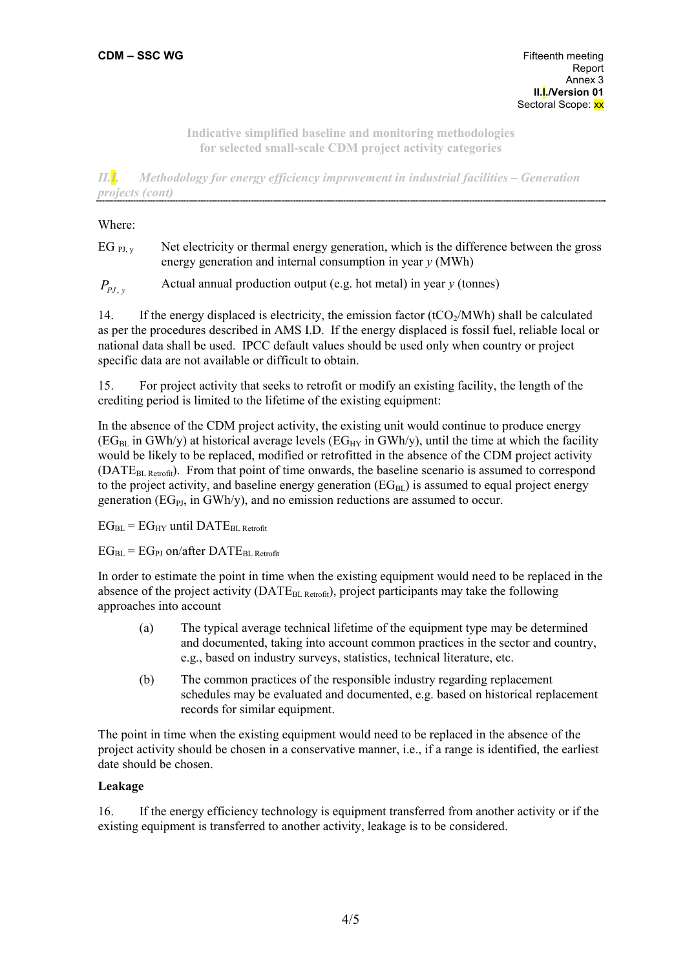*II.I. Methodology for energy efficiency improvement in industrial facilities – Generation projects (cont)* 

#### Where:

EG  $_{\text{PLv}}$  Net electricity or thermal energy generation, which is the difference between the gross energy generation and internal consumption in year *y* (MWh)

*P<sub>PJ</sub>* , *P* Actual annual production output (e.g. hot metal) in year *y* (tonnes)

14. If the energy displaced is electricity, the emission factor  $(tCO/MWh)$  shall be calculated as per the procedures described in AMS I.D. If the energy displaced is fossil fuel, reliable local or national data shall be used. IPCC default values should be used only when country or project specific data are not available or difficult to obtain.

15. For project activity that seeks to retrofit or modify an existing facility, the length of the crediting period is limited to the lifetime of the existing equipment:

In the absence of the CDM project activity, the existing unit would continue to produce energy  $(EG<sub>BL</sub>$  in GWh/y) at historical average levels  $(EG<sub>HY</sub>$  in GWh/y), until the time at which the facility would be likely to be replaced, modified or retrofitted in the absence of the CDM project activity (DATE<sub>BL Retrofit</sub>). From that point of time onwards, the baseline scenario is assumed to correspond to the project activity, and baseline energy generation  $(EG_{BI})$  is assumed to equal project energy generation ( $EG<sub>PI</sub>$ , in GWh/y), and no emission reductions are assumed to occur.

 $EG_{\text{BI}} = EG_{\text{HY}}$  until DATE<sub>BL Retrofit</sub>

 $EG_{BL} = EG_{PI}$  on/after DAT $E_{BL}$  Retrofit

In order to estimate the point in time when the existing equipment would need to be replaced in the absence of the project activity ( $\text{DATE}_{BL\text{ Return}}$ ), project participants may take the following approaches into account

- (a) The typical average technical lifetime of the equipment type may be determined and documented, taking into account common practices in the sector and country, e.g., based on industry surveys, statistics, technical literature, etc.
- (b) The common practices of the responsible industry regarding replacement schedules may be evaluated and documented, e.g. based on historical replacement records for similar equipment.

The point in time when the existing equipment would need to be replaced in the absence of the project activity should be chosen in a conservative manner, i.e., if a range is identified, the earliest date should be chosen.

## **Leakage**

16. If the energy efficiency technology is equipment transferred from another activity or if the existing equipment is transferred to another activity, leakage is to be considered.